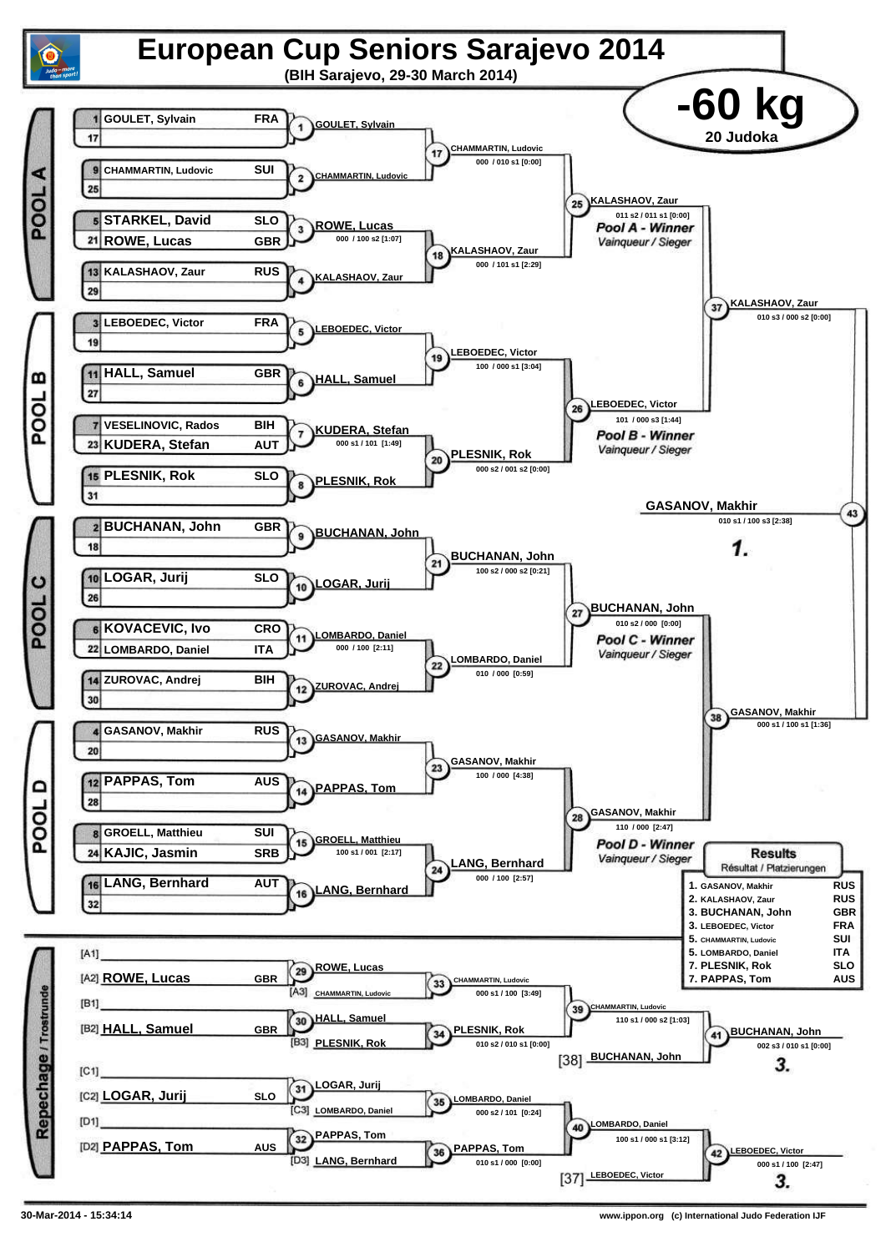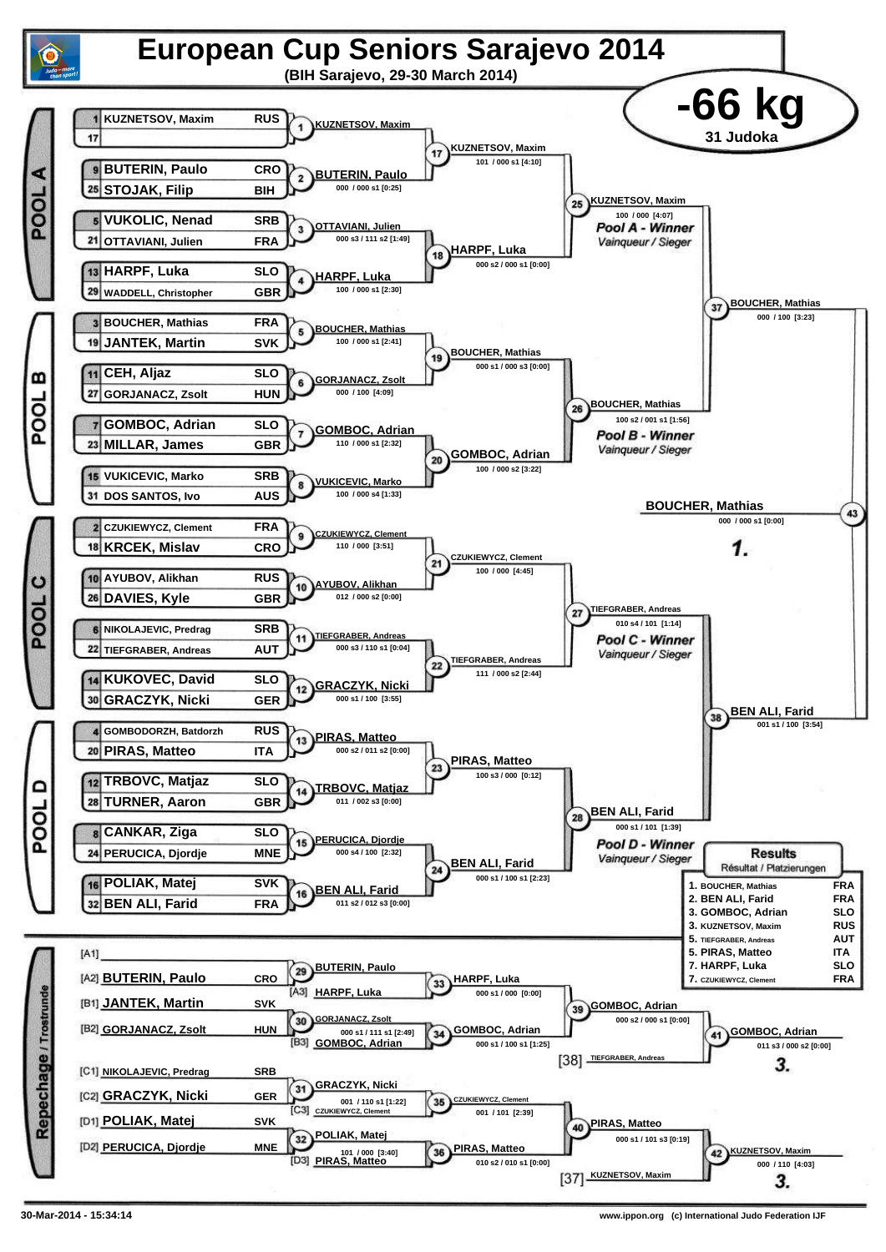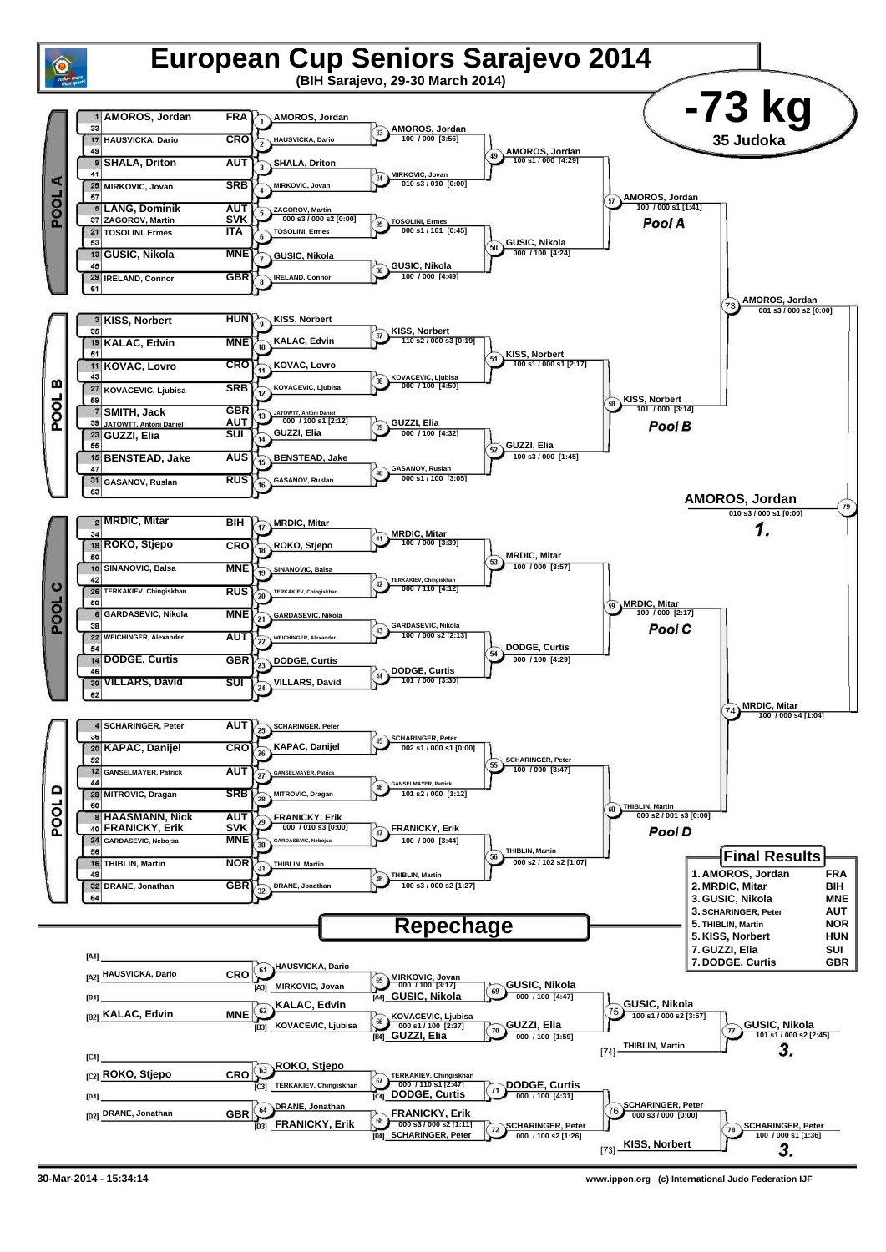

**30-Mar-2014 - 15:34:14 www.ippon.org (c) International Judo Federation IJF**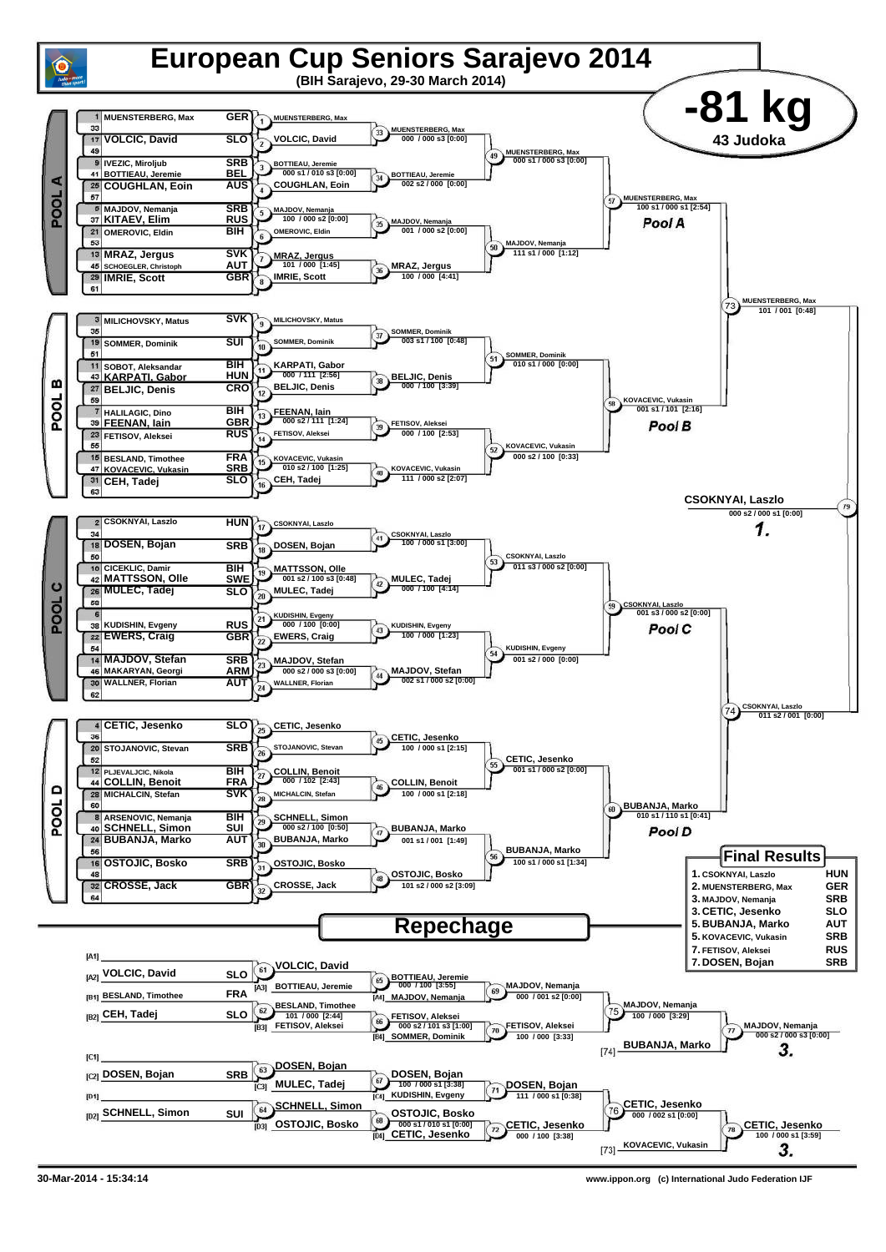

**30-Mar-2014 - 15:34:14 www.ippon.org (c) International Judo Federation IJF**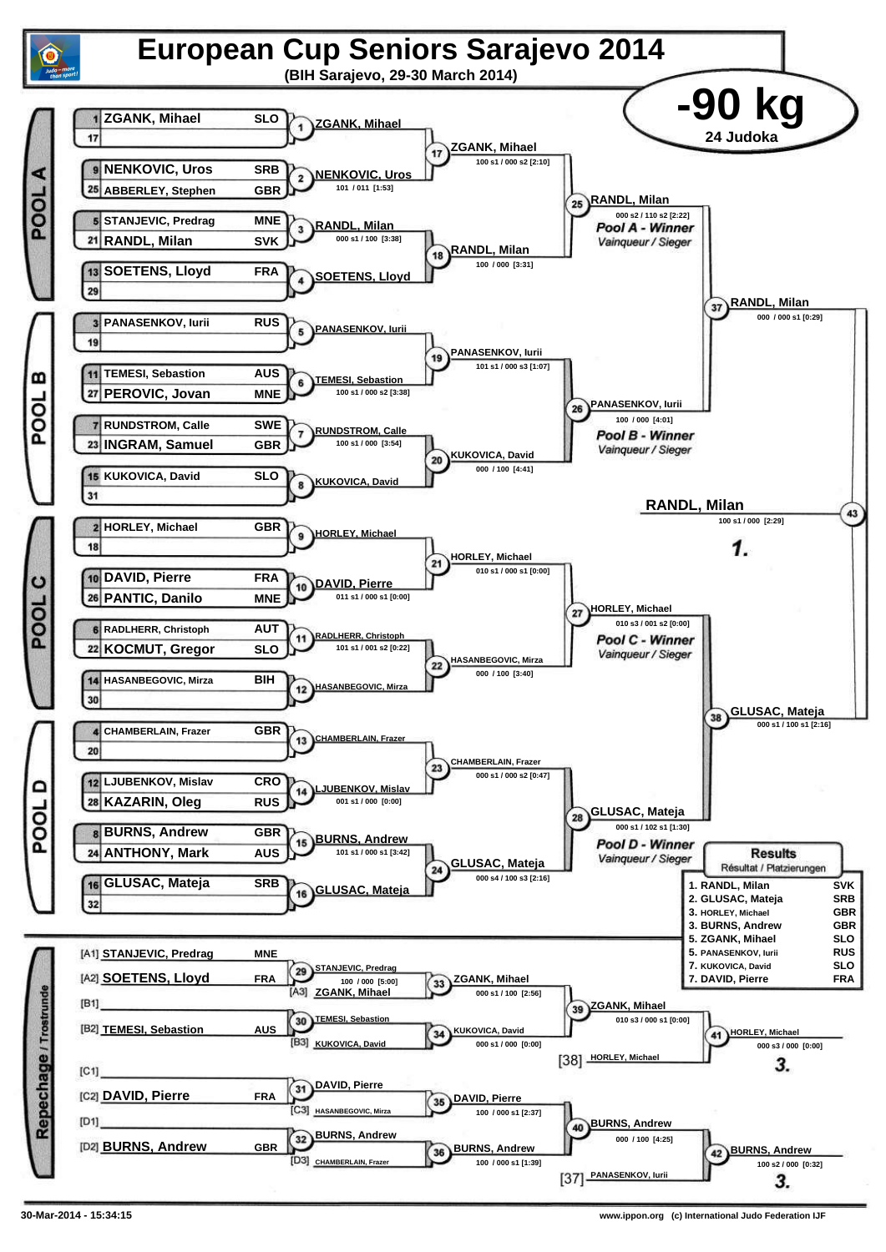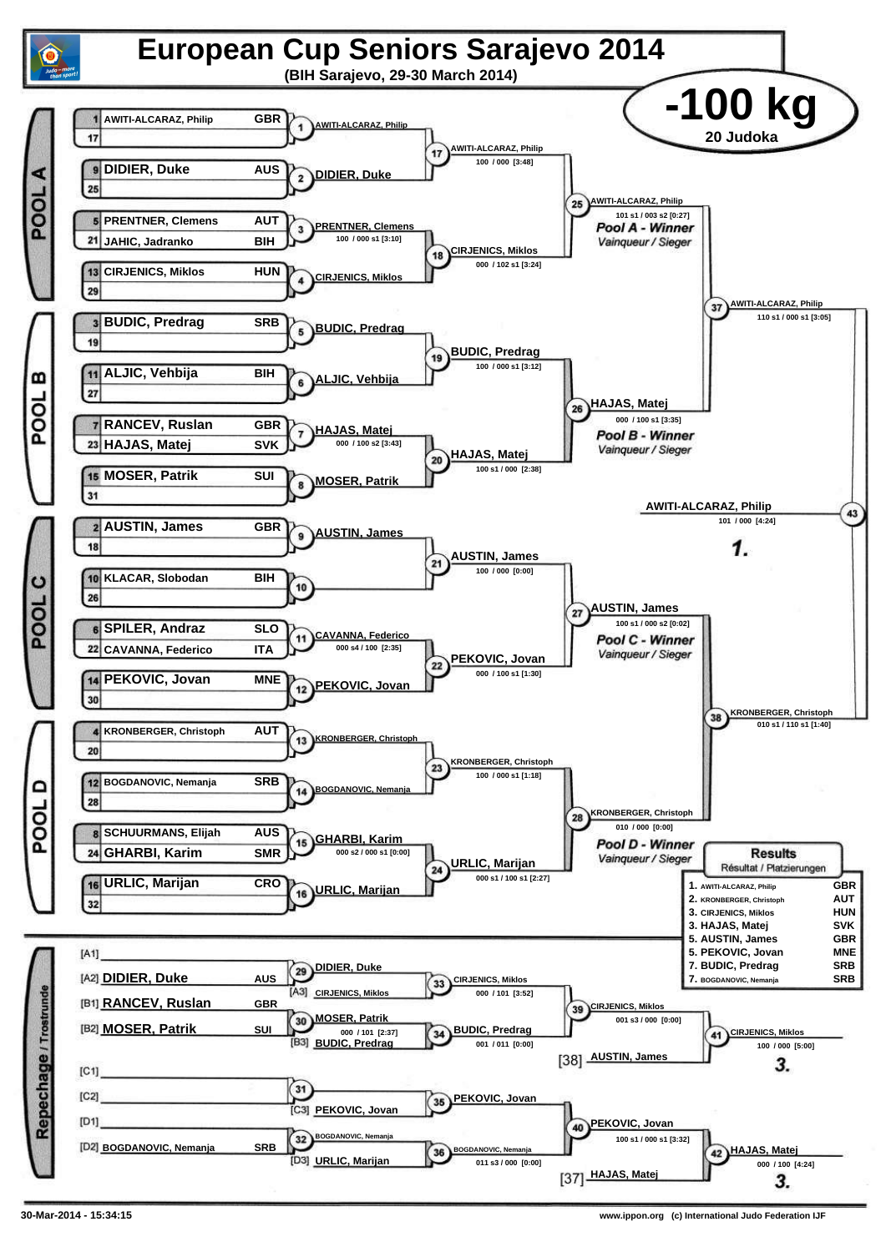